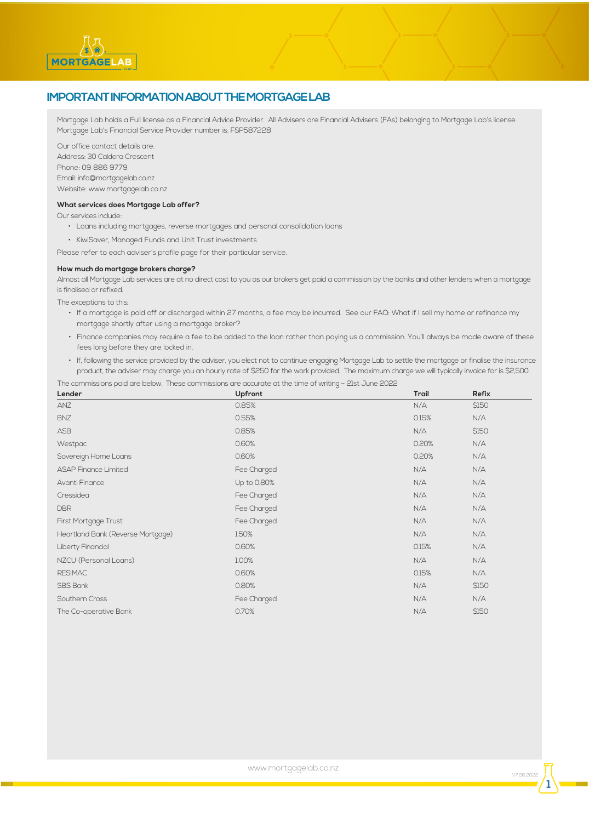# **IMPORTANT INFORMATION ABOUT THE MORTGAGE LAB**

Mortgage Lab holds a Full license as a Financial Advice Provider. All Advisers are Financial Advisers (FAs) belonging to Mortgage Lab's license. Mortgage Lab's Financial Service Provider number is: FSP587228

Our office contact details are: Address: 30 Caldera Crescent Phone: 09 886 9779 Email: info@mortgagelab.co.nz Website: www.mortgagelab.co.nz

#### **What services does Mortgage Lab offer?**

Our services include:

**MORTGAGELAB** 

- Loans including mortgages, reverse mortgages and personal consolidation loans
- KiwiSaver, Managed Funds and Unit Trust investments
- Please refer to each adviser's profile page for their particular service.

#### **How much do mortgage brokers charge?**

Almost all Mortgage Lab services are at no direct cost to you as our brokers get paid a commission by the banks and other lenders when a mortgage is finalised or refixed.

The exceptions to this:

- If a mortgage is paid off or discharged within 27 months, a fee may be incurred. See our FAQ: What if I sell my home or refinance my mortgage shortly after using a mortgage broker?
- Finance companies may require a fee to be added to the loan rather than paying us a commission. You'll always be made aware of these fees long before they are locked in.
- If, following the service provided by the adviser, you elect not to continue engaging Mortgage Lab to settle the mortgage or finalise the insurance product, the adviser may charge you an hourly rate of \$250 for the work provided. The maximum charge we will typically invoice for is \$2,500.

The commissions paid are below. These commissions are accurate at the time of writing – 21st June 2022

| Lender                            | Upfront     | Trail | Refix |  |
|-----------------------------------|-------------|-------|-------|--|
| <b>ANZ</b>                        | 0.85%       | N/A   | \$150 |  |
| <b>BNZ</b>                        | 0.55%       | 0.15% | N/A   |  |
| <b>ASB</b>                        | 0.85%       | N/A   | \$150 |  |
| Westpac                           | 0.60%       | 0.20% | N/A   |  |
| Sovereign Home Loans              | 0.60%       | 0.20% | N/A   |  |
| <b>ASAP Finance Limited</b>       | Fee Charged | N/A   | N/A   |  |
| Avanti Finance                    | Up to 0.80% | N/A   | N/A   |  |
| Cressidea                         | Fee Charged | N/A   | N/A   |  |
| <b>DBR</b>                        | Fee Charged | N/A   | N/A   |  |
| First Mortgage Trust              | Fee Charged | N/A   | N/A   |  |
| Heartland Bank (Reverse Mortgage) | 1.50%       | N/A   | N/A   |  |
| Liberty Financial                 | 0.60%       | 0.15% | N/A   |  |
| NZCU (Personal Loans)             | 1.00%       | N/A   | N/A   |  |
| <b>RESIMAC</b>                    | 0.60%       | 0.15% | N/A   |  |
| <b>SBS Bank</b>                   | 0.80%       | N/A   | \$150 |  |
| Southern Cross                    | Fee Charged | N/A   | N/A   |  |
| The Co-operative Bank             | 0.70%       | N/A   | \$150 |  |

**1**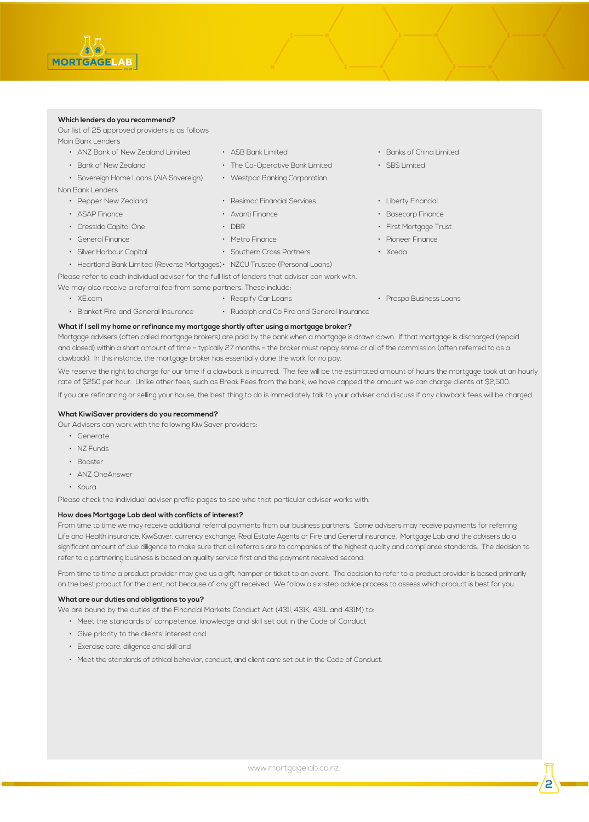## **Which lenders do you recommend?**

Our list of 25 approved providers is as follows Main Bank Lenders

- ANZ Bank of New Zealand Limited
- Bank of New Zealand
- Sovereign Home Loans (AIA Sovereign)

Non Bank Lenders

- Pepper New Zealand
- ASAP Finance
- Cressida Capital One
- General Finance
- Silver Harbour Capital
- 

We may also receive a referral fee from some partners. These include:

- XE.com
	-
- ASB Bank Limited
- The Co-Operative Bank Limited
- Westpac Banking Corporation
- Resimac Financial Services
- Avanti Finance
- 
- Metro Finance
- Southern Cross Partners Xceda
- Heartland Bank Limited (Reverse Mortgages) NZCU Trustee (Personal Loans)

Please refer to each individual adviser for the full list of lenders that adviser can work with.

## • Reapify Car Loans

• Rudolph and Co Fire and General Insurance

## • Blanket Fire and General Insurance

## **What if I sell my home or refinance my mortgage shortly after using a mortgage broker?**

Mortgage advisers (often called mortgage brokers) are paid by the bank when a mortgage is drawn down. If that mortgage is discharged (repaid and closed) within a short amount of time – typically 27 months – the broker must repay some or all of the commission (often referred to as a clawback). In this instance, the mortgage broker has essentially done the work for no pay.

We reserve the right to charge for our time if a clawback is incurred. The fee will be the estimated amount of hours the mortgage took at an hourly rate of \$250 per hour. Unlike other fees, such as Break Fees from the bank, we have capped the amount we can charge clients at \$2,500.

If you are refinancing or selling your house, the best thing to do is immediately talk to your adviser and discuss if any clawback fees will be charged.

## **What KiwiSaver providers do you recommend?**

- Our Advisers can work with the following KiwiSaver providers:
	- Generate
	- NZ Funds
	- Booster
	- ANZ OneAnswer
	- Koura

Please check the individual adviser profile pages to see who that particular adviser works with.

### **How does Mortgage Lab deal with conflicts of interest?**

Life and Health insurance, KiwiSaver, currency exchange, Real Estate Agents or Fire and General insurance. Mortgage Lab and the advisers do a significant amount of due diligence to make sure that all referrals are to companies of the highest quality and compliance standards. The decision to refer to a partnering business is based on quality service first and the payment received second. From time to time we may receive additional referral payments from our business partners. Some advisers may receive payments for referring

on the best product for the client, not because of any gift received. We follow a six-step advice process to assess which product is best for you. From time to time a product provider may give us a gift, hamper or ticket to an event. The decision to refer to a product provider is based primarily

### **What are our duties and obligations to you?**

- We are bound by the duties of the Financial Markets Conduct Act (431, 431K, 431L and 431M) to:
	- Meet the standards of competence, knowledge and skill set out in the Code of Conduct
	- Give priority to the clients' interest and
	- Exercise care, diligence and skill and
	- Meet the standards of ethical behavior, conduct, and client care set out in the Code of Conduct.
- Banks of China Limited
- SBS Limited
- Liberty Financial
- Basecorp Finance
- DBR CHAR First Mortgage Trust

• Prospa Business Loans

- Pioneer Finance
- 

**2**